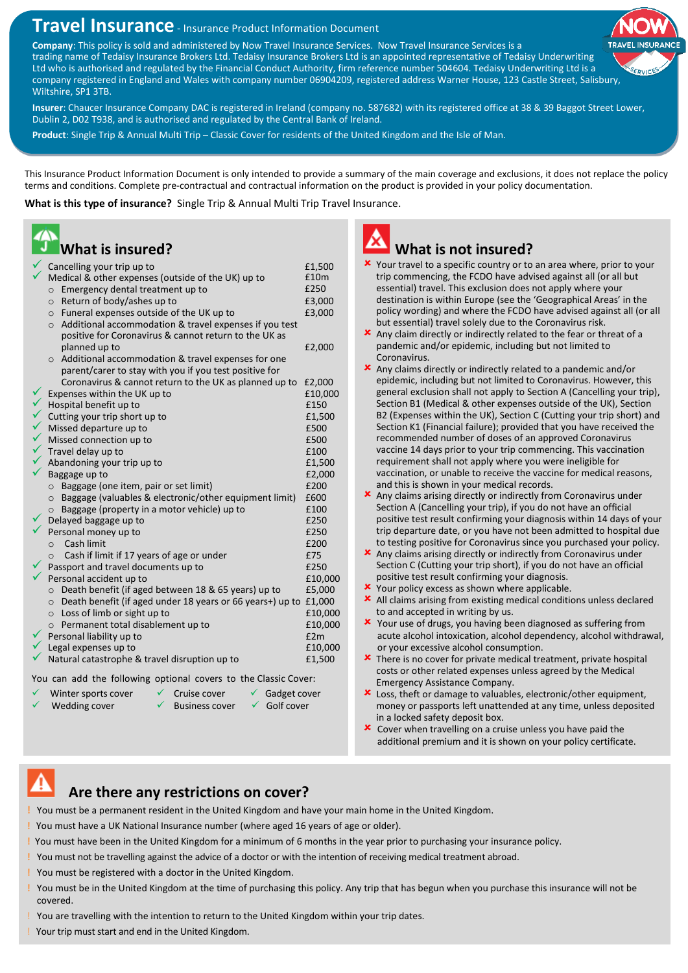## **Travel Insurance** - Insurance Product Information Document

**Company**: This policy is sold and administered by Now Travel Insurance Services. Now Travel Insurance Services is a trading name of Tedaisy Insurance Brokers Ltd. Tedaisy Insurance Brokers Ltd is an appointed representative of Tedaisy Underwriting Ltd who is authorised and regulated by the Financial Conduct Authority, firm reference number 504604. Tedaisy Underwriting Ltd is a company registered in England and Wales with company number 06904209, registered address Warner House, 123 Castle Street, Salisbury, Wiltshire, SP1 3TB.

**Insurer**: Chaucer Insurance Company DAC is registered in Ireland (company no. 587682) with its registered office at 38 & 39 Baggot Street Lower, Dublin 2, D02 T938, and is authorised and regulated by the Central Bank of Ireland.

**Product**: Single Trip & Annual Multi Trip – Classic Cover for residents of the United Kingdom and the Isle of Man.

This Insurance Product Information Document is only intended to provide a summary of the main coverage and exclusions, it does not replace the policy terms and conditions. Complete pre-contractual and contractual information on the product is provided in your policy documentation.

**What is this type of insurance?** Single Trip & Annual Multi Trip Travel Insurance.

# **What is insured?**

|                                                                                                                 | Cancelling your trip up to<br>Medical & other expenses (outside of the UK) up to | £1,500<br>£10m |  |  |
|-----------------------------------------------------------------------------------------------------------------|----------------------------------------------------------------------------------|----------------|--|--|
|                                                                                                                 | Emergency dental treatment up to<br>$\circ$                                      | £250           |  |  |
|                                                                                                                 | Return of body/ashes up to<br>$\circ$                                            | £3,000         |  |  |
|                                                                                                                 | Funeral expenses outside of the UK up to<br>$\circ$                              | £3,000         |  |  |
|                                                                                                                 | Additional accommodation & travel expenses if you test<br>$\circ$                |                |  |  |
|                                                                                                                 | positive for Coronavirus & cannot return to the UK as                            |                |  |  |
|                                                                                                                 | planned up to                                                                    | £2,000         |  |  |
|                                                                                                                 | o Additional accommodation & travel expenses for one                             |                |  |  |
|                                                                                                                 | parent/carer to stay with you if you test positive for                           |                |  |  |
|                                                                                                                 | Coronavirus & cannot return to the UK as planned up to                           | £2,000         |  |  |
|                                                                                                                 | Expenses within the UK up to                                                     | £10,000        |  |  |
|                                                                                                                 | Hospital benefit up to                                                           | £150           |  |  |
|                                                                                                                 | Cutting your trip short up to                                                    | £1,500         |  |  |
|                                                                                                                 | Missed departure up to                                                           | £500           |  |  |
| くくへんへん                                                                                                          | Missed connection up to                                                          | £500           |  |  |
|                                                                                                                 | Travel delay up to                                                               | £100           |  |  |
|                                                                                                                 | Abandoning your trip up to                                                       | £1,500         |  |  |
|                                                                                                                 | Baggage up to                                                                    | £2,000         |  |  |
|                                                                                                                 | Baggage (one item, pair or set limit)<br>$\circ$                                 | £200           |  |  |
|                                                                                                                 | Baggage (valuables & electronic/other equipment limit)<br>$\circ$                | £600           |  |  |
|                                                                                                                 | Baggage (property in a motor vehicle) up to<br>$\circ$                           | £100           |  |  |
|                                                                                                                 | Delayed baggage up to                                                            | £250           |  |  |
|                                                                                                                 | Personal money up to                                                             | £250           |  |  |
|                                                                                                                 | Cash limit<br>$\Omega$                                                           | £200           |  |  |
|                                                                                                                 | Cash if limit if 17 years of age or under<br>$\circ$                             | £75            |  |  |
|                                                                                                                 | Passport and travel documents up to                                              | £250           |  |  |
|                                                                                                                 | Personal accident up to                                                          | £10,000        |  |  |
|                                                                                                                 | Death benefit (if aged between 18 & 65 years) up to<br>$\Omega$                  | £5,000         |  |  |
|                                                                                                                 | Death benefit (if aged under 18 years or 66 years+) up to<br>$\circ$             | £1,000         |  |  |
|                                                                                                                 | $\circ$ Loss of limb or sight up to                                              | £10,000        |  |  |
|                                                                                                                 | o Permanent total disablement up to                                              | £10,000        |  |  |
|                                                                                                                 | Personal liability up to                                                         | £2m            |  |  |
|                                                                                                                 | Legal expenses up to                                                             | £10,000        |  |  |
|                                                                                                                 | Natural catastrophe & travel disruption up to                                    | £1,500         |  |  |
| and the state and state of a literature of the state of the state of the state of the state of the state of the |                                                                                  |                |  |  |

You can add the following optional covers to the Classic Cover:

- Winter sports cover  $\checkmark$  Cruise cover  $\checkmark$  Gadget cover
	-
	- Wedding cover  $\checkmark$  Business cover  $\checkmark$  Golf cover
		-

### **What is not insured?**

- X Your travel to a specific country or to an area where, prior to your trip commencing, the FCDO have advised against all (or all but essential) travel. This exclusion does not apply where your destination is within Europe (see the 'Geographical Areas' in the policy wording) and where the FCDO have advised against all (or all but essential) travel solely due to the Coronavirus risk.
- Any claim directly or indirectly related to the fear or threat of a pandemic and/or epidemic, including but not limited to Coronavirus.
- Any claims directly or indirectly related to a pandemic and/or epidemic, including but not limited to Coronavirus. However, this general exclusion shall not apply to Section A (Cancelling your trip), Section B1 (Medical & other expenses outside of the UK), Section B2 (Expenses within the UK), Section C (Cutting your trip short) and Section K1 (Financial failure); provided that you have received the recommended number of doses of an approved Coronavirus vaccine 14 days prior to your trip commencing. This vaccination requirement shall not apply where you were ineligible for vaccination, or unable to receive the vaccine for medical reasons, and this is shown in your medical records.
- Any claims arising directly or indirectly from Coronavirus under Section A (Cancelling your trip), if you do not have an official positive test result confirming your diagnosis within 14 days of your trip departure date, or you have not been admitted to hospital due to testing positive for Coronavirus since you purchased your policy.
- Any claims arising directly or indirectly from Coronavirus under Section C (Cutting your trip short), if you do not have an official positive test result confirming your diagnosis.
- **x** Your policy excess as shown where applicable.
- All claims arising from existing medical conditions unless declared to and accepted in writing by us.
- Your use of drugs, you having been diagnosed as suffering from acute alcohol intoxication, alcohol dependency, alcohol withdrawal, or your excessive alcohol consumption.
- **x** There is no cover for private medical treatment, private hospital costs or other related expenses unless agreed by the Medical Emergency Assistance Company.
- Loss, theft or damage to valuables, electronic/other equipment, money or passports left unattended at any time, unless deposited in a locked safety deposit box.
- **x** Cover when travelling on a cruise unless you have paid the additional premium and it is shown on your policy certificate.

### **Are there any restrictions on cover?**

**!** You must be a permanent resident in the United Kingdom and have your main home in the United Kingdom.

- **!** You must have a UK National Insurance number (where aged 16 years of age or older).
- **!** You must have been in the United Kingdom for a minimum of 6 months in the year prior to purchasing your insurance policy.
- **!** You must not be travelling against the advice of a doctor or with the intention of receiving medical treatment abroad.
- **!** You must be registered with a doctor in the United Kingdom.
- **!** You must be in the United Kingdom at the time of purchasing this policy. Any trip that has begun when you purchase this insurance will not be covered.
- ! You are travelling with the intention to return to the United Kingdom within your trip dates.
- ! Your trip must start and end in the United Kingdom.